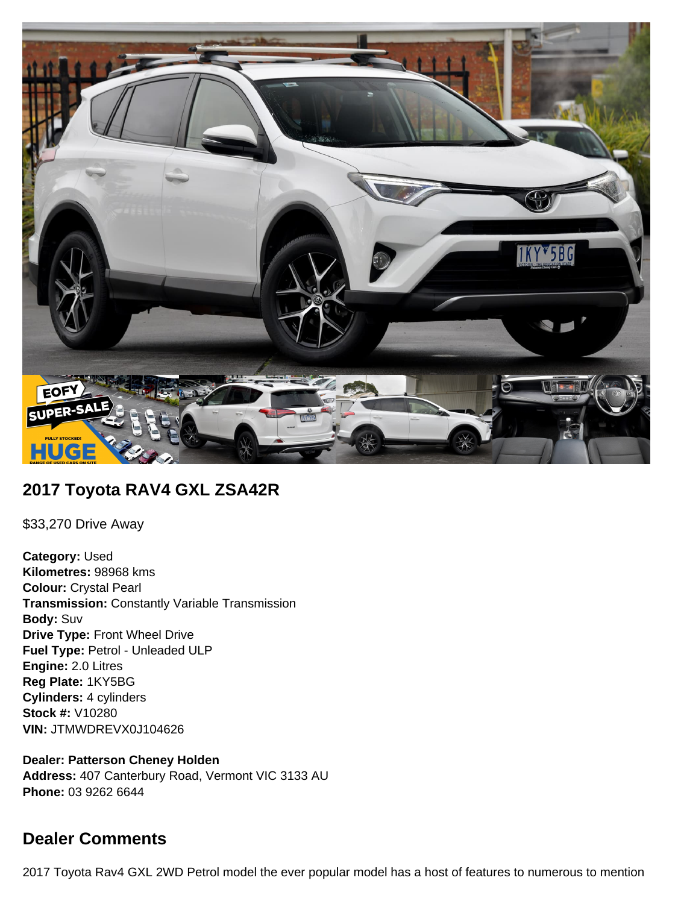

## **2017 Toyota RAV4 GXL ZSA42R**

\$33,270 Drive Away

**Category:** Used **Kilometres:** 98968 kms **Colour:** Crystal Pearl **Transmission:** Constantly Variable Transmission **Body:** Suv **Drive Type:** Front Wheel Drive **Fuel Type:** Petrol - Unleaded ULP **Engine:** 2.0 Litres **Reg Plate:** 1KY5BG **Cylinders:** 4 cylinders **Stock #:** V10280 **VIN:** JTMWDREVX0J104626

**Dealer: Patterson Cheney Holden Address:** 407 Canterbury Road, Vermont VIC 3133 AU **Phone:** 03 9262 6644

# **Dealer Comments**

2017 Toyota Rav4 GXL 2WD Petrol model the ever popular model has a host of features to numerous to mention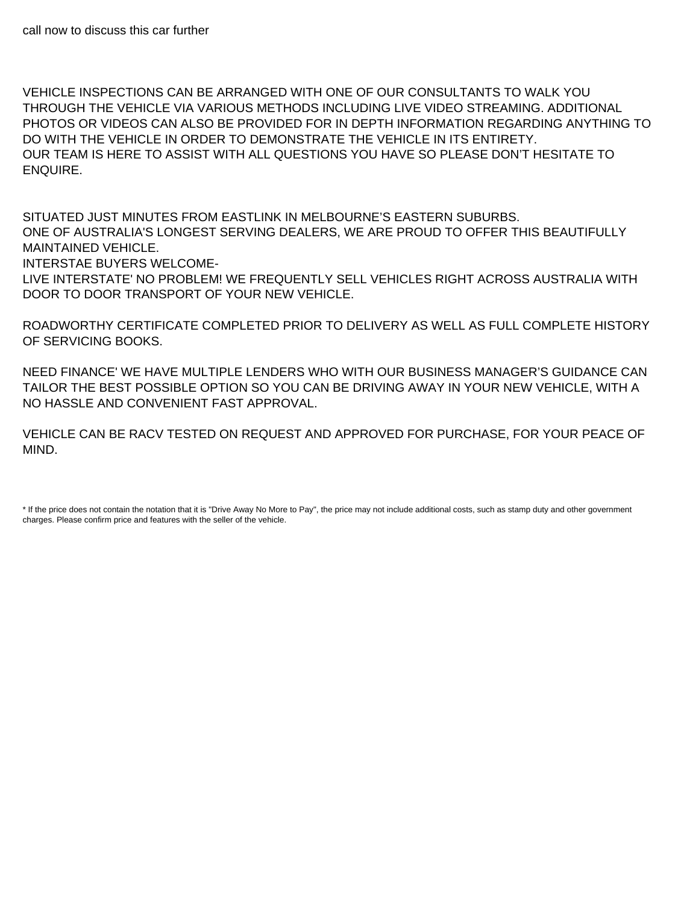VEHICLE INSPECTIONS CAN BE ARRANGED WITH ONE OF OUR CONSULTANTS TO WALK YOU THROUGH THE VEHICLE VIA VARIOUS METHODS INCLUDING LIVE VIDEO STREAMING. ADDITIONAL PHOTOS OR VIDEOS CAN ALSO BE PROVIDED FOR IN DEPTH INFORMATION REGARDING ANYTHING TO DO WITH THE VEHICLE IN ORDER TO DEMONSTRATE THE VEHICLE IN ITS ENTIRETY. OUR TEAM IS HERE TO ASSIST WITH ALL QUESTIONS YOU HAVE SO PLEASE DON'T HESITATE TO ENQUIRE.

SITUATED JUST MINUTES FROM EASTLINK IN MELBOURNE'S EASTERN SUBURBS. ONE OF AUSTRALIA'S LONGEST SERVING DEALERS, WE ARE PROUD TO OFFER THIS BEAUTIFULLY MAINTAINED VEHICLE.

INTERSTAE BUYERS WELCOME-

LIVE INTERSTATE' NO PROBLEM! WE FREQUENTLY SELL VEHICLES RIGHT ACROSS AUSTRALIA WITH DOOR TO DOOR TRANSPORT OF YOUR NEW VEHICLE.

ROADWORTHY CERTIFICATE COMPLETED PRIOR TO DELIVERY AS WELL AS FULL COMPLETE HISTORY OF SERVICING BOOKS.

NEED FINANCE' WE HAVE MULTIPLE LENDERS WHO WITH OUR BUSINESS MANAGER'S GUIDANCE CAN TAILOR THE BEST POSSIBLE OPTION SO YOU CAN BE DRIVING AWAY IN YOUR NEW VEHICLE, WITH A NO HASSLE AND CONVENIENT FAST APPROVAL.

VEHICLE CAN BE RACV TESTED ON REQUEST AND APPROVED FOR PURCHASE, FOR YOUR PEACE OF MIND.

<sup>\*</sup> If the price does not contain the notation that it is "Drive Away No More to Pay", the price may not include additional costs, such as stamp duty and other government charges. Please confirm price and features with the seller of the vehicle.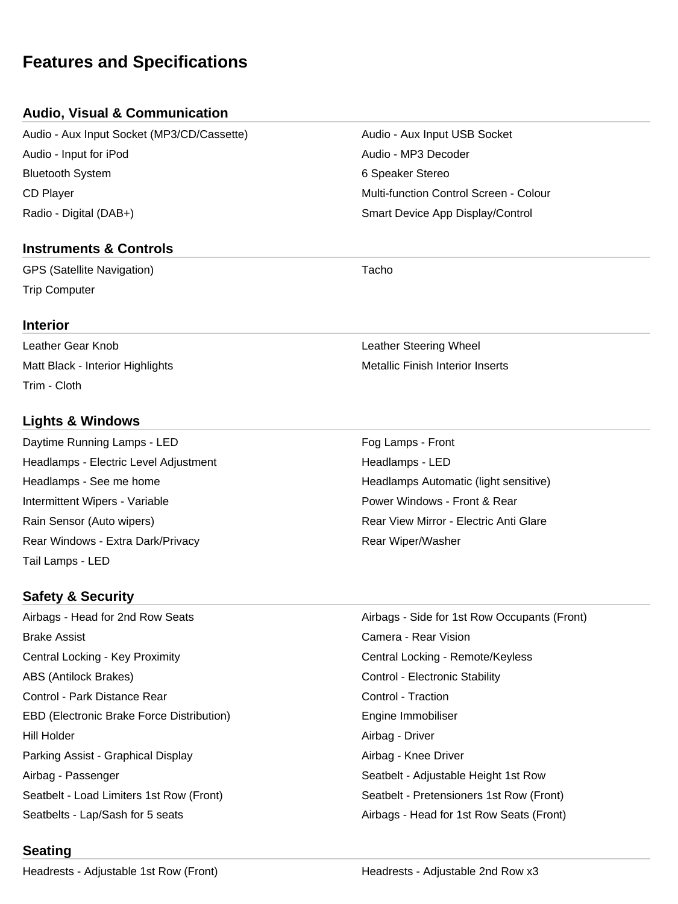# **Features and Specifications**

## **Audio, Visual & Communication**

Audio - Aux Input Socket (MP3/CD/Cassette) Audio - Aux Input USB Socket Audio - Input for iPod Audio - MP3 Decoder Bluetooth System **6 Speaker Stereo** 6 Speaker Stereo CD Player Multi-function Control Screen - Colour Radio - Digital (DAB+) Smart Device App Display/Control

## **Instruments & Controls**

GPS (Satellite Navigation) **Tacho** Trip Computer

## **Interior**

Leather Gear Knob Leather Steering Wheel Matt Black - Interior Highlights Metallic Finish Interior Inserts Trim - Cloth

## **Lights & Windows**

Daytime Running Lamps - LED **Four Lamps - Front** Fog Lamps - Front Headlamps - Electric Level Adjustment **Headlamps - LED** Headlamps - See me home **Headlamps Automatic (light sensitive)** Headlamps Automatic (light sensitive) Intermittent Wipers - Variable **Power Windows - Front & Rear** Power Windows - Front & Rear Rain Sensor (Auto wipers) The Community Rear View Mirror - Electric Anti Glare Rear Windows - Extra Dark/Privacy **Rear Windows** - Extra Dark/Privacy Tail Lamps - LED

## **Safety & Security**

Airbags - Head for 2nd Row Seats Airbags - Side for 1st Row Occupants (Front) Brake Assist Camera - Rear Vision Central Locking - Key Proximity Central Locking - Remote/Keyless ABS (Antilock Brakes) The Control - Electronic Stability Control - Park Distance Rear Control - Traction EBD (Electronic Brake Force Distribution) The Summon Engine Immobiliser Hill Holder Airbag - Driver Parking Assist - Graphical Display And Airbag - Knee Driver Airbag - Passenger North Christian Christian Christian Christian Seatbelt - Adjustable Height 1st Row Seatbelt - Load Limiters 1st Row (Front) Seatbelt - Pretensioners 1st Row (Front)

Seatbelts - Lap/Sash for 5 seats Airbags - Head for 1st Row Seats (Front)

## **Seating**

Headrests - Adjustable 1st Row (Front) The Meadrests - Adjustable 2nd Row x3